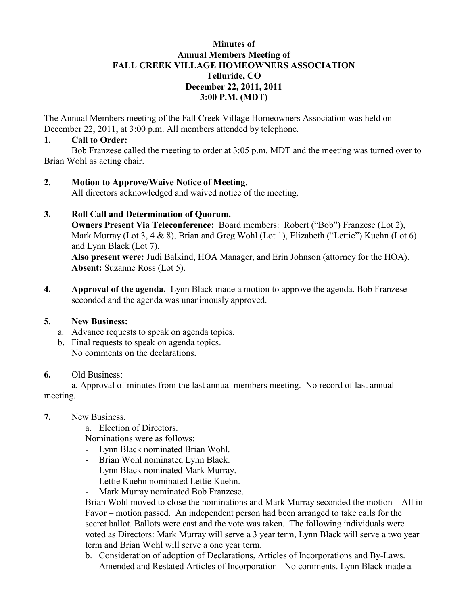#### **Minutes of Annual Members Meeting of FALL CREEK VILLAGE HOMEOWNERS ASSOCIATION Telluride, CO December 22, 2011, 2011 3:00 P.M. (MDT)**

The Annual Members meeting of the Fall Creek Village Homeowners Association was held on December 22, 2011, at 3:00 p.m. All members attended by telephone.

#### **1. Call to Order:**

Bob Franzese called the meeting to order at 3:05 p.m. MDT and the meeting was turned over to Brian Wohl as acting chair.

### **2. Motion to Approve/Waive Notice of Meeting.**

All directors acknowledged and waived notice of the meeting.

### **3. Roll Call and Determination of Quorum.**

**Owners Present Via Teleconference:** Board members: Robert ("Bob") Franzese (Lot 2), Mark Murray (Lot 3, 4 & 8), Brian and Greg Wohl (Lot 1), Elizabeth ("Lettie") Kuehn (Lot 6) and Lynn Black (Lot 7).

**Also present were:** Judi Balkind, HOA Manager, and Erin Johnson (attorney for the HOA). **Absent:** Suzanne Ross (Lot 5).

**4. Approval of the agenda.** Lynn Black made a motion to approve the agenda. Bob Franzese seconded and the agenda was unanimously approved.

### **5. New Business:**

- a. Advance requests to speak on agenda topics.
- b. Final requests to speak on agenda topics. No comments on the declarations.

### **6.** Old Business:

a. Approval of minutes from the last annual members meeting. No record of last annual meeting.

**7.** New Business.

a. Election of Directors.

Nominations were as follows:

- Lynn Black nominated Brian Wohl.
- Brian Wohl nominated Lynn Black.
- Lynn Black nominated Mark Murray.
- Lettie Kuehn nominated Lettie Kuehn.
- Mark Murray nominated Bob Franzese.

Brian Wohl moved to close the nominations and Mark Murray seconded the motion – All in Favor – motion passed. An independent person had been arranged to take calls for the secret ballot. Ballots were cast and the vote was taken. The following individuals were voted as Directors: Mark Murray will serve a 3 year term, Lynn Black will serve a two year term and Brian Wohl will serve a one year term.

- b. Consideration of adoption of Declarations, Articles of Incorporations and By-Laws.
- Amended and Restated Articles of Incorporation No comments. Lynn Black made a